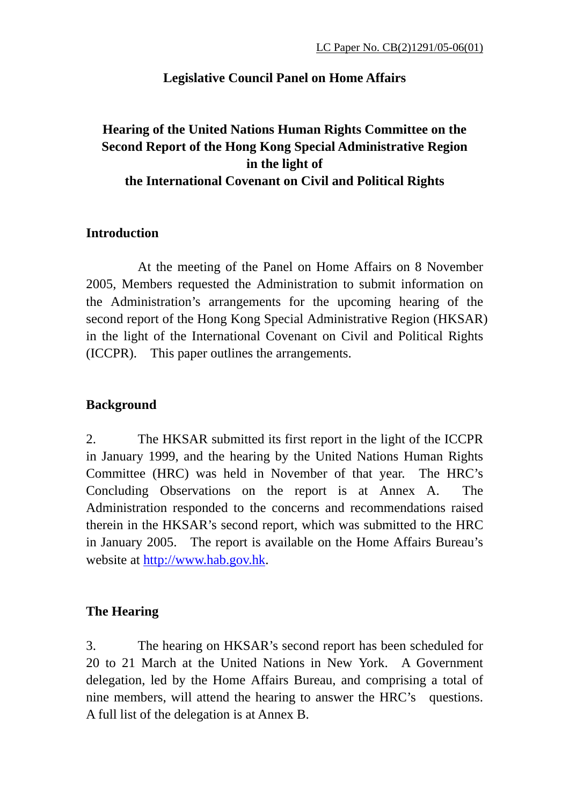## **Legislative Council Panel on Home Affairs**

## **Hearing of the United Nations Human Rights Committee on the Second Report of the Hong Kong Special Administrative Region in the light of the International Covenant on Civil and Political Rights**

### **Introduction**

 At the meeting of the Panel on Home Affairs on 8 November 2005, Members requested the Administration to submit information on the Administration's arrangements for the upcoming hearing of the second report of the Hong Kong Special Administrative Region (HKSAR) in the light of the International Covenant on Civil and Political Rights (ICCPR). This paper outlines the arrangements.

## **Background**

2. The HKSAR submitted its first report in the light of the ICCPR in January 1999, and the hearing by the United Nations Human Rights Committee (HRC) was held in November of that year. The HRC's Concluding Observations on the report is at Annex A. The Administration responded to the concerns and recommendations raised therein in the HKSAR's second report, which was submitted to the HRC in January 2005. The report is available on the Home Affairs Bureau's website at http://www.hab.gov.hk.

## **The Hearing**

3. The hearing on HKSAR's second report has been scheduled for 20 to 21 March at the United Nations in New York. A Government delegation, led by the Home Affairs Bureau, and comprising a total of nine members, will attend the hearing to answer the HRC's questions. A full list of the delegation is at Annex B.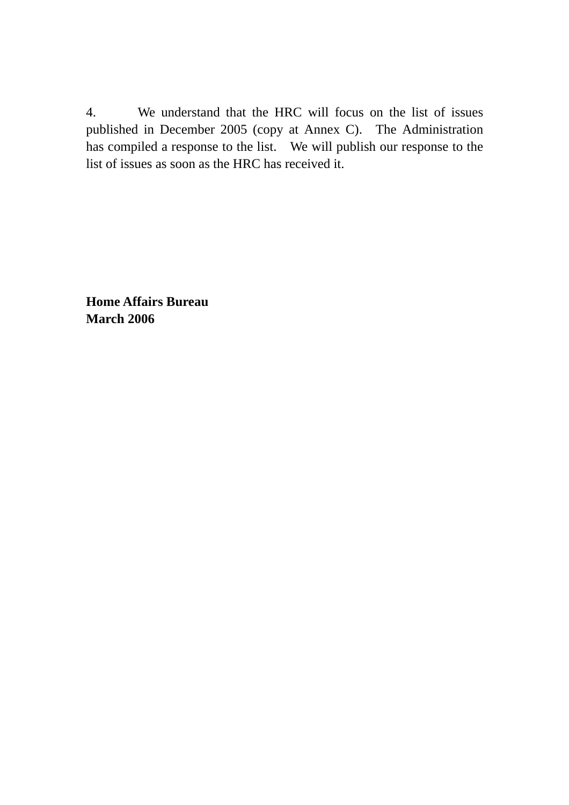4. We understand that the HRC will focus on the list of issues published in December 2005 (copy at Annex C). The Administration has compiled a response to the list. We will publish our response to the list of issues as soon as the HRC has received it.

**Home Affairs Bureau March 2006**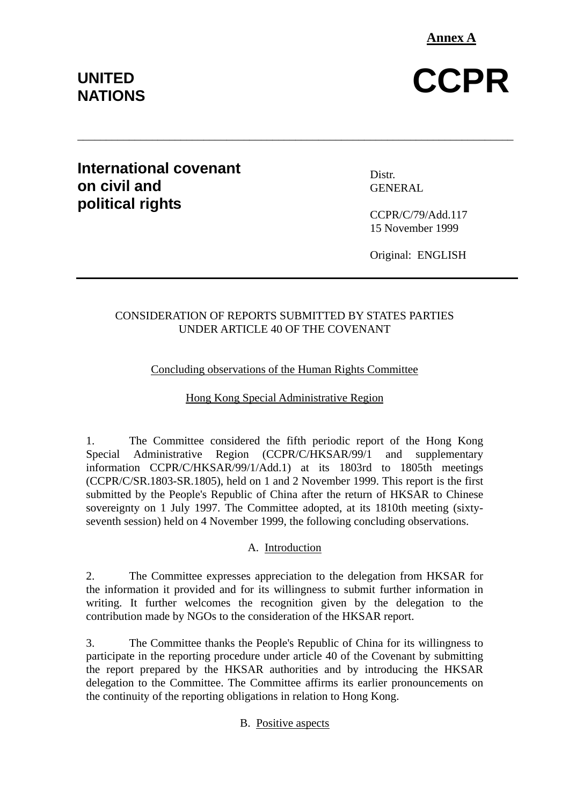**Annex A**

# UNITED CCPR

## **NATIONS**

## **International covenant on civil and political rights**

Distr. GENERAL

CCPR/C/79/Add.117 15 November 1999

Original: ENGLISH

#### CONSIDERATION OF REPORTS SUBMITTED BY STATES PARTIES UNDER ARTICLE 40 OF THE COVENANT

\_\_\_\_\_\_\_\_\_\_\_\_\_\_\_\_\_\_\_\_\_\_\_\_\_\_\_\_\_\_\_\_\_\_\_\_\_\_\_\_\_\_\_\_\_\_\_\_\_\_\_\_\_\_\_\_\_\_\_\_\_\_\_\_\_\_\_\_\_\_\_\_\_\_\_\_

#### Concluding observations of the Human Rights Committee

#### Hong Kong Special Administrative Region

1. The Committee considered the fifth periodic report of the Hong Kong Special Administrative Region (CCPR/C/HKSAR/99/1 and supplementary information CCPR/C/HKSAR/99/1/Add.1) at its 1803rd to 1805th meetings (CCPR/C/SR.1803-SR.1805), held on 1 and 2 November 1999. This report is the first submitted by the People's Republic of China after the return of HKSAR to Chinese sovereignty on 1 July 1997. The Committee adopted, at its 1810th meeting (sixtyseventh session) held on 4 November 1999, the following concluding observations.

#### A. Introduction

2. The Committee expresses appreciation to the delegation from HKSAR for the information it provided and for its willingness to submit further information in writing. It further welcomes the recognition given by the delegation to the contribution made by NGOs to the consideration of the HKSAR report.

3. The Committee thanks the People's Republic of China for its willingness to participate in the reporting procedure under article 40 of the Covenant by submitting the report prepared by the HKSAR authorities and by introducing the HKSAR delegation to the Committee. The Committee affirms its earlier pronouncements on the continuity of the reporting obligations in relation to Hong Kong.

#### B. Positive aspects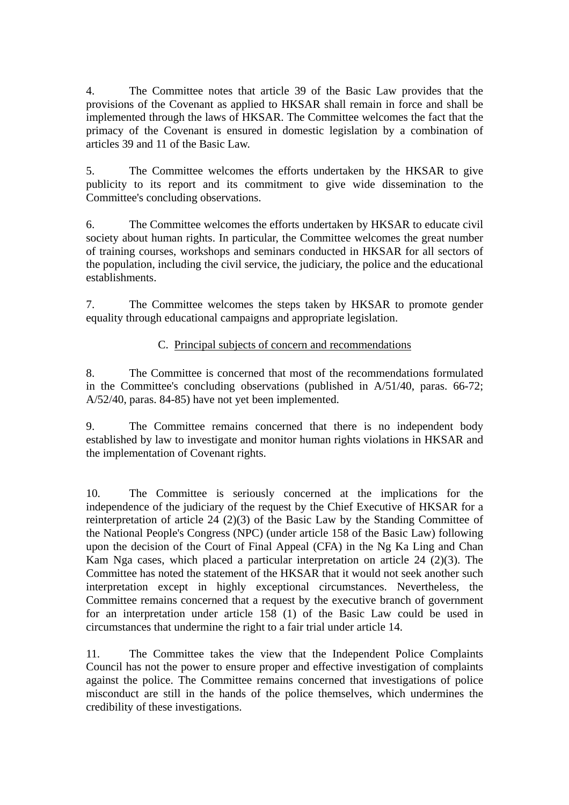4. The Committee notes that article 39 of the Basic Law provides that the provisions of the Covenant as applied to HKSAR shall remain in force and shall be implemented through the laws of HKSAR. The Committee welcomes the fact that the primacy of the Covenant is ensured in domestic legislation by a combination of articles 39 and 11 of the Basic Law.

5. The Committee welcomes the efforts undertaken by the HKSAR to give publicity to its report and its commitment to give wide dissemination to the Committee's concluding observations.

6. The Committee welcomes the efforts undertaken by HKSAR to educate civil society about human rights. In particular, the Committee welcomes the great number of training courses, workshops and seminars conducted in HKSAR for all sectors of the population, including the civil service, the judiciary, the police and the educational establishments.

7. The Committee welcomes the steps taken by HKSAR to promote gender equality through educational campaigns and appropriate legislation.

#### C. Principal subjects of concern and recommendations

8. The Committee is concerned that most of the recommendations formulated in the Committee's concluding observations (published in A/51/40, paras. 66-72; A/52/40, paras. 84-85) have not yet been implemented.

9. The Committee remains concerned that there is no independent body established by law to investigate and monitor human rights violations in HKSAR and the implementation of Covenant rights.

10. The Committee is seriously concerned at the implications for the independence of the judiciary of the request by the Chief Executive of HKSAR for a reinterpretation of article 24 (2)(3) of the Basic Law by the Standing Committee of the National People's Congress (NPC) (under article 158 of the Basic Law) following upon the decision of the Court of Final Appeal (CFA) in the Ng Ka Ling and Chan Kam Nga cases, which placed a particular interpretation on article 24 (2)(3). The Committee has noted the statement of the HKSAR that it would not seek another such interpretation except in highly exceptional circumstances. Nevertheless, the Committee remains concerned that a request by the executive branch of government for an interpretation under article 158 (1) of the Basic Law could be used in circumstances that undermine the right to a fair trial under article 14.

11. The Committee takes the view that the Independent Police Complaints Council has not the power to ensure proper and effective investigation of complaints against the police. The Committee remains concerned that investigations of police misconduct are still in the hands of the police themselves, which undermines the credibility of these investigations.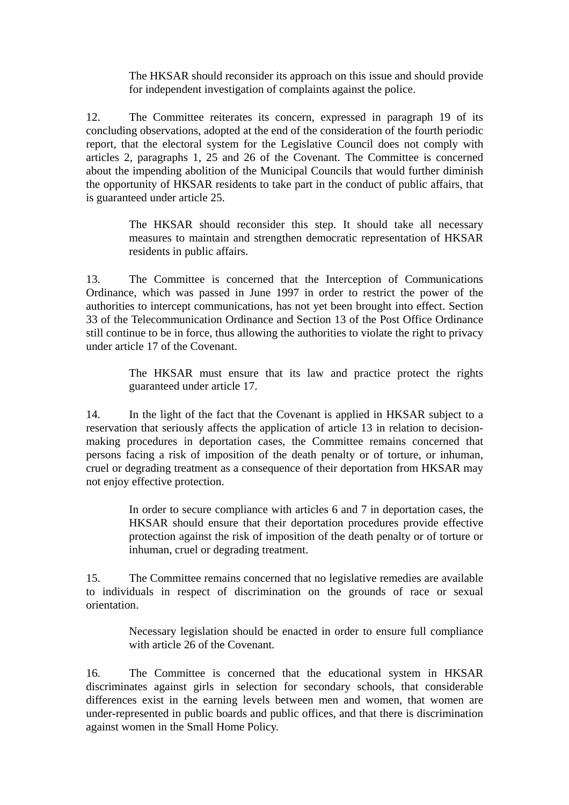The HKSAR should reconsider its approach on this issue and should provide for independent investigation of complaints against the police.

12. The Committee reiterates its concern, expressed in paragraph 19 of its concluding observations, adopted at the end of the consideration of the fourth periodic report, that the electoral system for the Legislative Council does not comply with articles 2, paragraphs 1, 25 and 26 of the Covenant. The Committee is concerned about the impending abolition of the Municipal Councils that would further diminish the opportunity of HKSAR residents to take part in the conduct of public affairs, that is guaranteed under article 25.

> The HKSAR should reconsider this step. It should take all necessary measures to maintain and strengthen democratic representation of HKSAR residents in public affairs.

13. The Committee is concerned that the Interception of Communications Ordinance, which was passed in June 1997 in order to restrict the power of the authorities to intercept communications, has not yet been brought into effect. Section 33 of the Telecommunication Ordinance and Section 13 of the Post Office Ordinance still continue to be in force, thus allowing the authorities to violate the right to privacy under article 17 of the Covenant.

> The HKSAR must ensure that its law and practice protect the rights guaranteed under article 17.

14. In the light of the fact that the Covenant is applied in HKSAR subject to a reservation that seriously affects the application of article 13 in relation to decisionmaking procedures in deportation cases, the Committee remains concerned that persons facing a risk of imposition of the death penalty or of torture, or inhuman, cruel or degrading treatment as a consequence of their deportation from HKSAR may not enjoy effective protection.

> In order to secure compliance with articles 6 and 7 in deportation cases, the HKSAR should ensure that their deportation procedures provide effective protection against the risk of imposition of the death penalty or of torture or inhuman, cruel or degrading treatment.

15. The Committee remains concerned that no legislative remedies are available to individuals in respect of discrimination on the grounds of race or sexual orientation.

> Necessary legislation should be enacted in order to ensure full compliance with article 26 of the Covenant.

16. The Committee is concerned that the educational system in HKSAR discriminates against girls in selection for secondary schools, that considerable differences exist in the earning levels between men and women, that women are under-represented in public boards and public offices, and that there is discrimination against women in the Small Home Policy.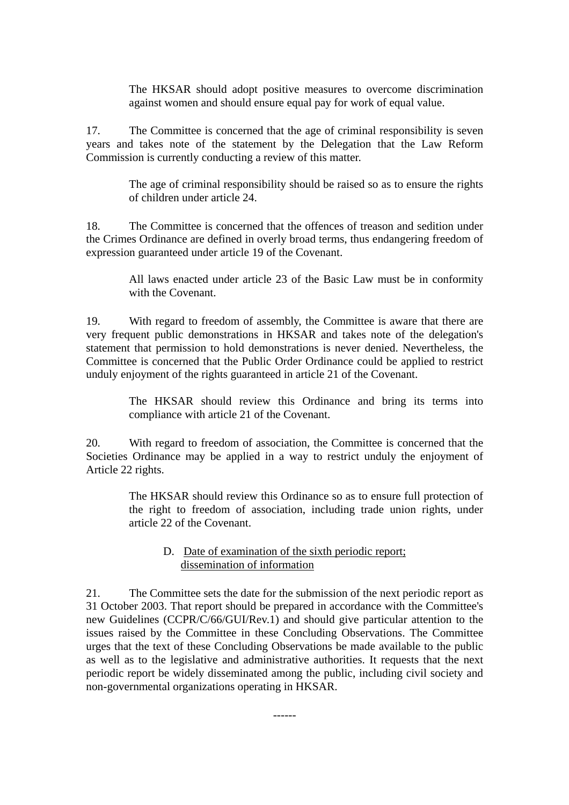The HKSAR should adopt positive measures to overcome discrimination against women and should ensure equal pay for work of equal value.

17. The Committee is concerned that the age of criminal responsibility is seven years and takes note of the statement by the Delegation that the Law Reform Commission is currently conducting a review of this matter.

> The age of criminal responsibility should be raised so as to ensure the rights of children under article 24.

18. The Committee is concerned that the offences of treason and sedition under the Crimes Ordinance are defined in overly broad terms, thus endangering freedom of expression guaranteed under article 19 of the Covenant.

> All laws enacted under article 23 of the Basic Law must be in conformity with the Covenant.

19. With regard to freedom of assembly, the Committee is aware that there are very frequent public demonstrations in HKSAR and takes note of the delegation's statement that permission to hold demonstrations is never denied. Nevertheless, the Committee is concerned that the Public Order Ordinance could be applied to restrict unduly enjoyment of the rights guaranteed in article 21 of the Covenant.

> The HKSAR should review this Ordinance and bring its terms into compliance with article 21 of the Covenant.

20. With regard to freedom of association, the Committee is concerned that the Societies Ordinance may be applied in a way to restrict unduly the enjoyment of Article 22 rights.

> The HKSAR should review this Ordinance so as to ensure full protection of the right to freedom of association, including trade union rights, under article 22 of the Covenant.

#### D. Date of examination of the sixth periodic report; dissemination of information

21. The Committee sets the date for the submission of the next periodic report as 31 October 2003. That report should be prepared in accordance with the Committee's new Guidelines (CCPR/C/66/GUI/Rev.1) and should give particular attention to the issues raised by the Committee in these Concluding Observations. The Committee urges that the text of these Concluding Observations be made available to the public as well as to the legislative and administrative authorities. It requests that the next periodic report be widely disseminated among the public, including civil society and non-governmental organizations operating in HKSAR.

------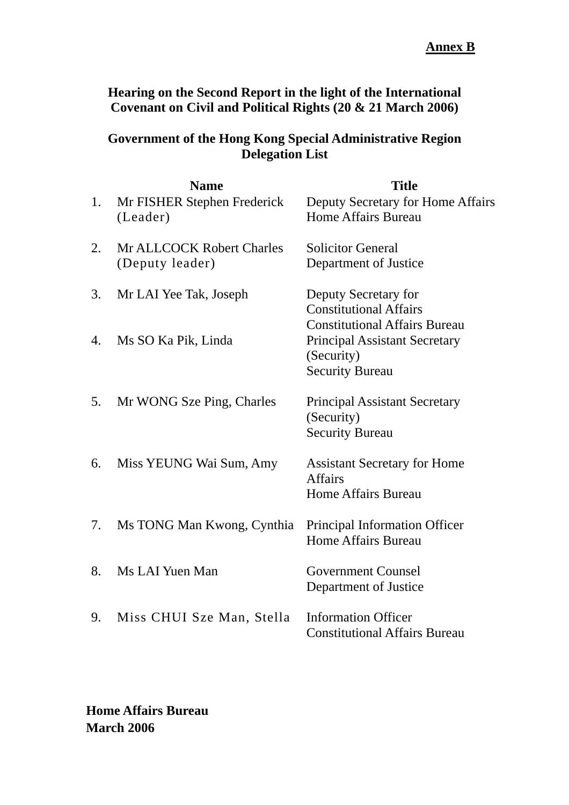**Hearing on the Second Report in the light of the International Covenant on Civil and Political Rights (20 & 21 March 2006)** 

## **Government of the Hong Kong Special Administrative Region Delegation List**

| 1. | <b>Name</b><br>Mr FISHER Stephen Frederick<br>(Leader) | <b>Title</b><br>Deputy Secretary for Home Affairs<br>Home Affairs Bureau                                             |
|----|--------------------------------------------------------|----------------------------------------------------------------------------------------------------------------------|
| 2. | Mr ALLCOCK Robert Charles<br>(Deputy leader)           | <b>Solicitor General</b><br>Department of Justice                                                                    |
| 3. | Mr LAI Yee Tak, Joseph                                 | Deputy Secretary for<br><b>Constitutional Affairs</b>                                                                |
| 4. | Ms SO Ka Pik, Linda                                    | <b>Constitutional Affairs Bureau</b><br><b>Principal Assistant Secretary</b><br>(Security)<br><b>Security Bureau</b> |
| 5. | Mr WONG Sze Ping, Charles                              | <b>Principal Assistant Secretary</b><br>(Security)<br><b>Security Bureau</b>                                         |
| 6. | Miss YEUNG Wai Sum, Amy                                | <b>Assistant Secretary for Home</b><br><b>Affairs</b><br><b>Home Affairs Bureau</b>                                  |
| 7. | Ms TONG Man Kwong, Cynthia                             | Principal Information Officer<br><b>Home Affairs Bureau</b>                                                          |
| 8. | Ms LAI Yuen Man                                        | <b>Government Counsel</b><br>Department of Justice                                                                   |
| 9. | Miss CHUI Sze Man, Stella                              | <b>Information Officer</b><br><b>Constitutional Affairs Bureau</b>                                                   |

**Home Affairs Bureau March 2006**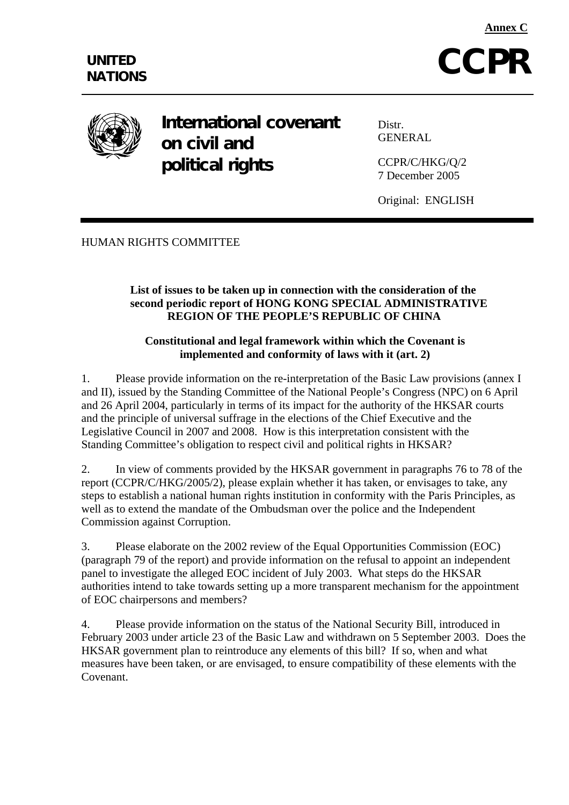



**International covenant on civil and political rights** 

Distr. GENERAL

CCPR/C/HKG/Q/2 7 December 2005

Original: ENGLISH

HUMAN RIGHTS COMMITTEE

#### **List of issues to be taken up in connection with the consideration of the second periodic report of HONG KONG SPECIAL ADMINISTRATIVE REGION OF THE PEOPLE'S REPUBLIC OF CHINA**

#### **Constitutional and legal framework within which the Covenant is implemented and conformity of laws with it (art. 2)**

1. Please provide information on the re-interpretation of the Basic Law provisions (annex I and II), issued by the Standing Committee of the National People's Congress (NPC) on 6 April and 26 April 2004, particularly in terms of its impact for the authority of the HKSAR courts and the principle of universal suffrage in the elections of the Chief Executive and the Legislative Council in 2007 and 2008. How is this interpretation consistent with the Standing Committee's obligation to respect civil and political rights in HKSAR?

2. In view of comments provided by the HKSAR government in paragraphs 76 to 78 of the report (CCPR/C/HKG/2005/2), please explain whether it has taken, or envisages to take, any steps to establish a national human rights institution in conformity with the Paris Principles, as well as to extend the mandate of the Ombudsman over the police and the Independent Commission against Corruption.

3. Please elaborate on the 2002 review of the Equal Opportunities Commission (EOC) (paragraph 79 of the report) and provide information on the refusal to appoint an independent panel to investigate the alleged EOC incident of July 2003. What steps do the HKSAR authorities intend to take towards setting up a more transparent mechanism for the appointment of EOC chairpersons and members?

4. Please provide information on the status of the National Security Bill, introduced in February 2003 under article 23 of the Basic Law and withdrawn on 5 September 2003. Does the HKSAR government plan to reintroduce any elements of this bill? If so, when and what measures have been taken, or are envisaged, to ensure compatibility of these elements with the Covenant.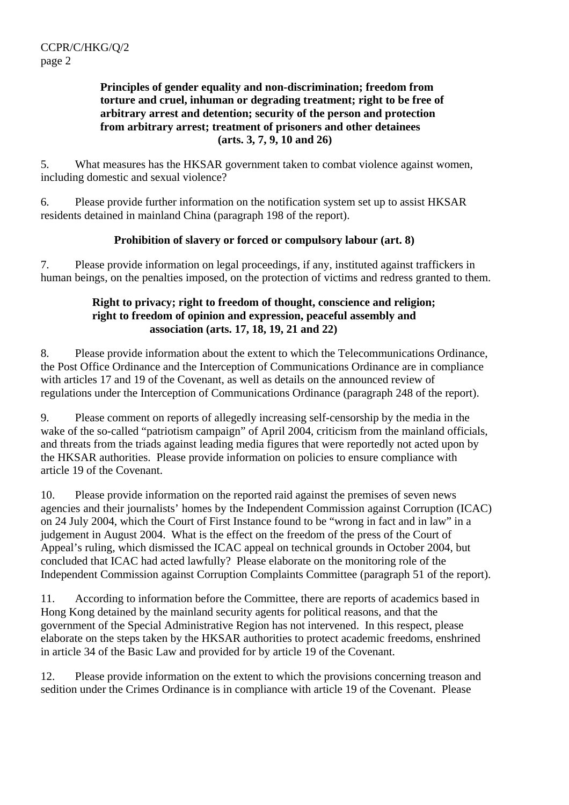#### **Principles of gender equality and non-discrimination; freedom from torture and cruel, inhuman or degrading treatment; right to be free of arbitrary arrest and detention; security of the person and protection from arbitrary arrest; treatment of prisoners and other detainees (arts. 3, 7, 9, 10 and 26)**

5. What measures has the HKSAR government taken to combat violence against women, including domestic and sexual violence?

6. Please provide further information on the notification system set up to assist HKSAR residents detained in mainland China (paragraph 198 of the report).

#### **Prohibition of slavery or forced or compulsory labour (art. 8)**

7. Please provide information on legal proceedings, if any, instituted against traffickers in human beings, on the penalties imposed, on the protection of victims and redress granted to them.

#### **Right to privacy; right to freedom of thought, conscience and religion; right to freedom of opinion and expression, peaceful assembly and association (arts. 17, 18, 19, 21 and 22)**

8. Please provide information about the extent to which the Telecommunications Ordinance, the Post Office Ordinance and the Interception of Communications Ordinance are in compliance with articles 17 and 19 of the Covenant, as well as details on the announced review of regulations under the Interception of Communications Ordinance (paragraph 248 of the report).

9. Please comment on reports of allegedly increasing self-censorship by the media in the wake of the so-called "patriotism campaign" of April 2004, criticism from the mainland officials, and threats from the triads against leading media figures that were reportedly not acted upon by the HKSAR authorities. Please provide information on policies to ensure compliance with article 19 of the Covenant.

10. Please provide information on the reported raid against the premises of seven news agencies and their journalists' homes by the Independent Commission against Corruption (ICAC) on 24 July 2004, which the Court of First Instance found to be "wrong in fact and in law" in a judgement in August 2004. What is the effect on the freedom of the press of the Court of Appeal's ruling, which dismissed the ICAC appeal on technical grounds in October 2004, but concluded that ICAC had acted lawfully? Please elaborate on the monitoring role of the Independent Commission against Corruption Complaints Committee (paragraph 51 of the report).

11. According to information before the Committee, there are reports of academics based in Hong Kong detained by the mainland security agents for political reasons, and that the government of the Special Administrative Region has not intervened. In this respect, please elaborate on the steps taken by the HKSAR authorities to protect academic freedoms, enshrined in article 34 of the Basic Law and provided for by article 19 of the Covenant.

12. Please provide information on the extent to which the provisions concerning treason and sedition under the Crimes Ordinance is in compliance with article 19 of the Covenant. Please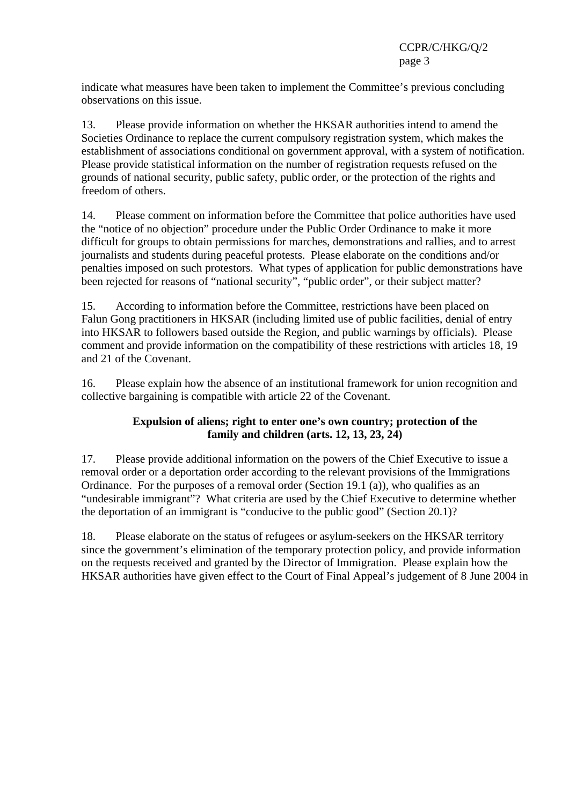indicate what measures have been taken to implement the Committee's previous concluding observations on this issue.

13. Please provide information on whether the HKSAR authorities intend to amend the Societies Ordinance to replace the current compulsory registration system, which makes the establishment of associations conditional on government approval, with a system of notification. Please provide statistical information on the number of registration requests refused on the grounds of national security, public safety, public order, or the protection of the rights and freedom of others.

14. Please comment on information before the Committee that police authorities have used the "notice of no objection" procedure under the Public Order Ordinance to make it more difficult for groups to obtain permissions for marches, demonstrations and rallies, and to arrest journalists and students during peaceful protests. Please elaborate on the conditions and/or penalties imposed on such protestors. What types of application for public demonstrations have been rejected for reasons of "national security", "public order", or their subject matter?

15. According to information before the Committee, restrictions have been placed on Falun Gong practitioners in HKSAR (including limited use of public facilities, denial of entry into HKSAR to followers based outside the Region, and public warnings by officials). Please comment and provide information on the compatibility of these restrictions with articles 18, 19 and 21 of the Covenant.

16. Please explain how the absence of an institutional framework for union recognition and collective bargaining is compatible with article 22 of the Covenant.

#### **Expulsion of aliens; right to enter one's own country; protection of the family and children (arts. 12, 13, 23, 24)**

17. Please provide additional information on the powers of the Chief Executive to issue a removal order or a deportation order according to the relevant provisions of the Immigrations Ordinance. For the purposes of a removal order (Section 19.1 (a)), who qualifies as an "undesirable immigrant"? What criteria are used by the Chief Executive to determine whether the deportation of an immigrant is "conducive to the public good" (Section 20.1)?

18. Please elaborate on the status of refugees or asylum-seekers on the HKSAR territory since the government's elimination of the temporary protection policy, and provide information on the requests received and granted by the Director of Immigration. Please explain how the HKSAR authorities have given effect to the Court of Final Appeal's judgement of 8 June 2004 in